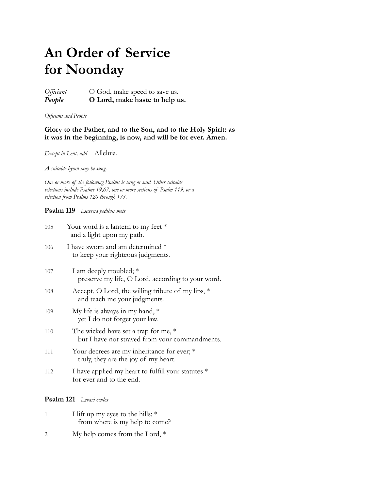# **An Order of Service for Noonday**

*Officiant* O God, make speed to save us. *People* **O Lord, make haste to help us.**

*Officiant and People*

# **Glory to the Father, and to the Son, and to the Holy Spirit: as it was in the beginning, is now, and will be for ever. Amen.**

*Except in Lent, add* Alleluia.

*A suitable hymn may be sung.*

*One or more of the following Psalms is sung or said. Other suitable selections include Psalms 19,67, one or more sections of Psalm 119, or a selection from Psalms 120 through 133.*

**Psalm 119** *Lucerna pedibus meis*

| 105 | Your word is a lantern to my feet $*$<br>and a light upon my path.                       |
|-----|------------------------------------------------------------------------------------------|
| 106 | I have sworn and am determined *<br>to keep your righteous judgments.                    |
| 107 | I am deeply troubled; *<br>preserve my life, O Lord, according to your word.             |
| 108 | Accept, O Lord, the willing tribute of my lips, *<br>and teach me your judgments.        |
| 109 | My life is always in my hand, $*$<br>yet I do not forget your law.                       |
| 110 | The wicked have set a trap for me, $*$<br>but I have not strayed from your commandments. |
| 111 | Your decrees are my inheritance for ever; *<br>truly, they are the joy of my heart.      |
| 112 | I have applied my heart to fulfill your statutes *<br>for ever and to the end.           |

## **Psalm 121** *Levavi oculos*

|               | I lift up my eyes to the hills; $*$<br>from where is my help to come? |
|---------------|-----------------------------------------------------------------------|
| $\mathcal{D}$ | My help comes from the Lord, $*$                                      |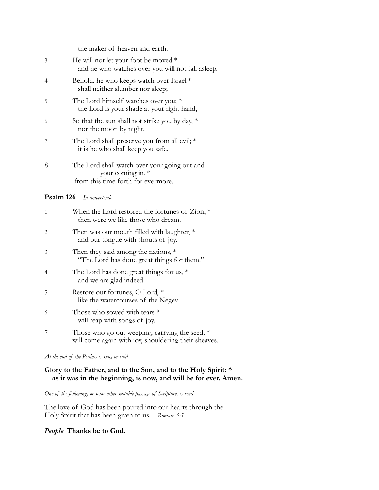the maker of heaven and earth.

| 3 | He will not let your foot be moved $*$<br>and he who watches over you will not fall asleep.             |
|---|---------------------------------------------------------------------------------------------------------|
| 4 | Behold, he who keeps watch over Israel *<br>shall neither slumber nor sleep;                            |
| 5 | The Lord himself watches over you; $*$<br>the Lord is your shade at your right hand,                    |
| 6 | So that the sun shall not strike you by day, $*$<br>nor the moon by night.                              |
|   | The Lord shall preserve you from all evil; $*$<br>it is he who shall keep you safe.                     |
| 8 | The Lord shall watch over your going out and<br>your coming in, *<br>from this time forth for evermore. |

## **Psalm 126** *In convertendo*

| 1 | When the Lord restored the fortunes of $\mathsf{Zion}, *$<br>then were we like those who dream.          |
|---|----------------------------------------------------------------------------------------------------------|
| 2 | Then was our mouth filled with laughter, $*$<br>and our tongue with shouts of joy.                       |
| 3 | Then they said among the nations, $*$<br>"The Lord has done great things for them."                      |
| 4 | The Lord has done great things for us, $*$<br>and we are glad indeed.                                    |
| 5 | Restore our fortunes, O Lord, *<br>like the watercourses of the Negev.                                   |
| 6 | Those who sowed with tears *<br>will reap with songs of joy.                                             |
| 7 | Those who go out weeping, carrying the seed, $*$<br>will come again with joy, shouldering their sheaves. |

## *At the end of the Psalms is sung or said*

# **Glory to the Father, and to the Son, and to the Holy Spirit: \* as it was in the beginning, is now, and will be for ever. Amen.**

*One of the following, or some other suitable passage of Scripture, is read*

The love of God has been poured into our hearts through the Holy Spirit that has been given to us. *Romans 5:5*

## *People* **Thanks be to God.**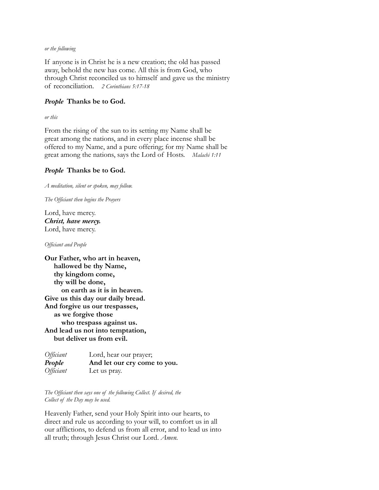#### *or the following*

If anyone is in Christ he is a new creation; the old has passed away, behold the new has come. All this is from God, who through Christ reconciled us to himself and gave us the ministry of reconciliation. *2 Corinthians 5:17-18*

## *People* **Thanks be to God.**

*or this*

From the rising of the sun to its setting my Name shall be great among the nations, and in every place incense shall be offered to my Name, and a pure offering; for my Name shall be great among the nations, says the Lord of Hosts. *Malachi 1:11*

### *People* **Thanks be to God.**

*A meditation, silent or spoken, may follow.*

*The Officiant then begins the Prayers*

Lord, have mercy. *Christ, have mercy.* Lord, have mercy.

*Officiant and People*

**Our Father, who art in heaven, hallowed be thy Name, thy kingdom come, thy will be done, on earth as it is in heaven. Give us this day our daily bread. And forgive us our trespasses, as we forgive those who trespass against us. And lead us not into temptation, but deliver us from evil.**

| Officiant | Lord, hear our prayer;       |
|-----------|------------------------------|
| People    | And let our cry come to you. |
| Officiant | Let us pray.                 |

*The Officiant then says one of the following Collect. If desired, the Collect of the Day may be used.*

Heavenly Father, send your Holy Spirit into our hearts, to direct and rule us according to your will, to comfort us in all our afflictions, to defend us from all error, and to lead us into all truth; through Jesus Christ our Lord. *Amen.*